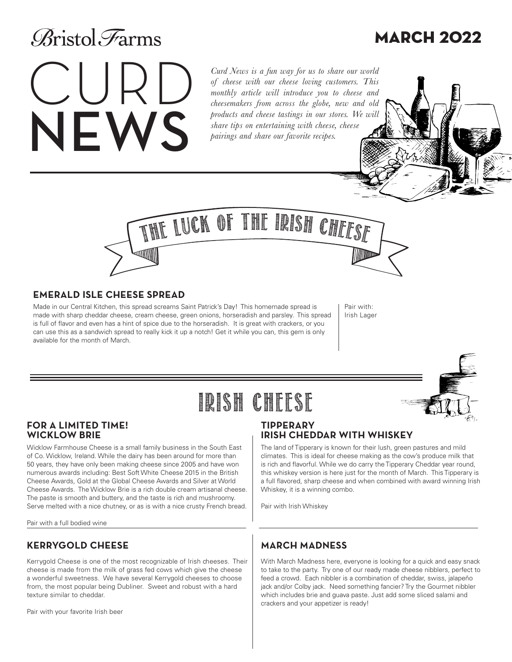### **Aristol** Farms

### MARCH 2022

# CURD NEWS

*Curd News is a fun way for us to share our world of cheese with our cheese loving customers. This monthly article will introduce you to cheese and cheesemakers from across the globe, new and old products and cheese tastings in our stores. We will share tips on entertaining with cheese, cheese pairings and share our favorite recipes.* 



### **EMERALD ISLE CHEESE SPREAD**

Made in our Central Kitchen, this spread screams Saint Patrick's Day! This homemade spread is made with sharp cheddar cheese, cream cheese, green onions, horseradish and parsley. This spread is full of flavor and even has a hint of spice due to the horseradish. It is great with crackers, or you can use this as a sandwich spread to really kick it up a notch! Get it while you can, this gem is only available for the month of March.

Pair with: Irish Lager

### IRISH CHEESE

#### **FOR A LIMITED TIME! WICKLOW BRIE**

Wicklow Farmhouse Cheese is a small family business in the South East of Co. Wicklow, Ireland. While the dairy has been around for more than 50 years, they have only been making cheese since 2005 and have won numerous awards including: Best Soft White Cheese 2015 in the British Cheese Awards, Gold at the Global Cheese Awards and Silver at World Cheese Awards. The Wicklow Brie is a rich double cream artisanal cheese. The paste is smooth and buttery, and the taste is rich and mushroomy. Serve melted with a nice chutney, or as is with a nice crusty French bread.

Pair with a full bodied wine

### **KERRYGOLD CHEESE**

Kerrygold Cheese is one of the most recognizable of Irish cheeses. Their cheese is made from the milk of grass fed cows which give the cheese a wonderful sweetness. We have several Kerrygold cheeses to choose from, the most popular being Dubliner. Sweet and robust with a hard texture similar to cheddar.

Pair with your favorite Irish beer

### **TIPPERARY IRISH CHEDDAR WITH WHISKEY**

The land of Tipperary is known for their lush, green pastures and mild climates. This is ideal for cheese making as the cow's produce milk that is rich and flavorful. While we do carry the Tipperary Cheddar year round, this whiskey version is here just for the month of March. This Tipperary is a full flavored, sharp cheese and when combined with award winning Irish Whiskey, it is a winning combo.

Pair with Irish Whiskey

### **MARCH MADNESS**

With March Madness here, everyone is looking for a quick and easy snack to take to the party. Try one of our ready made cheese nibblers, perfect to feed a crowd. Each nibbler is a combination of cheddar, swiss, jalapeño jack and/or Colby jack. Need something fancier? Try the Gourmet nibbler which includes brie and guava paste. Just add some sliced salami and crackers and your appetizer is ready!